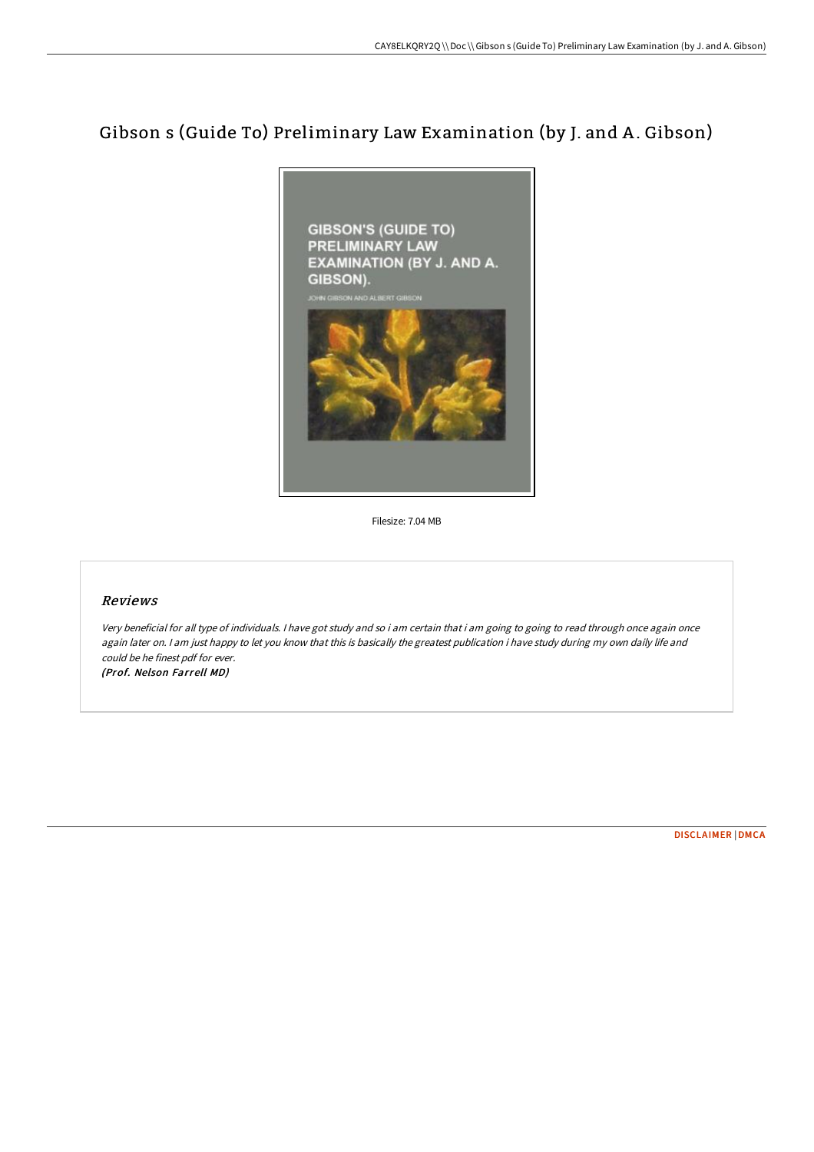## Gibson s (Guide To) Preliminary Law Examination (by J. and A .Gibson)



Filesize: 7.04 MB

## Reviews

Very beneficial for all type of individuals. <sup>I</sup> have got study and so i am certain that i am going to going to read through once again once again later on. I am just happy to let you know that this is basically the greatest publication i have study during my own daily life and could be he finest pdf for ever. (Prof. Nelson Farrell MD)

[DISCLAIMER](http://albedo.media/disclaimer.html) | [DMCA](http://albedo.media/dmca.html)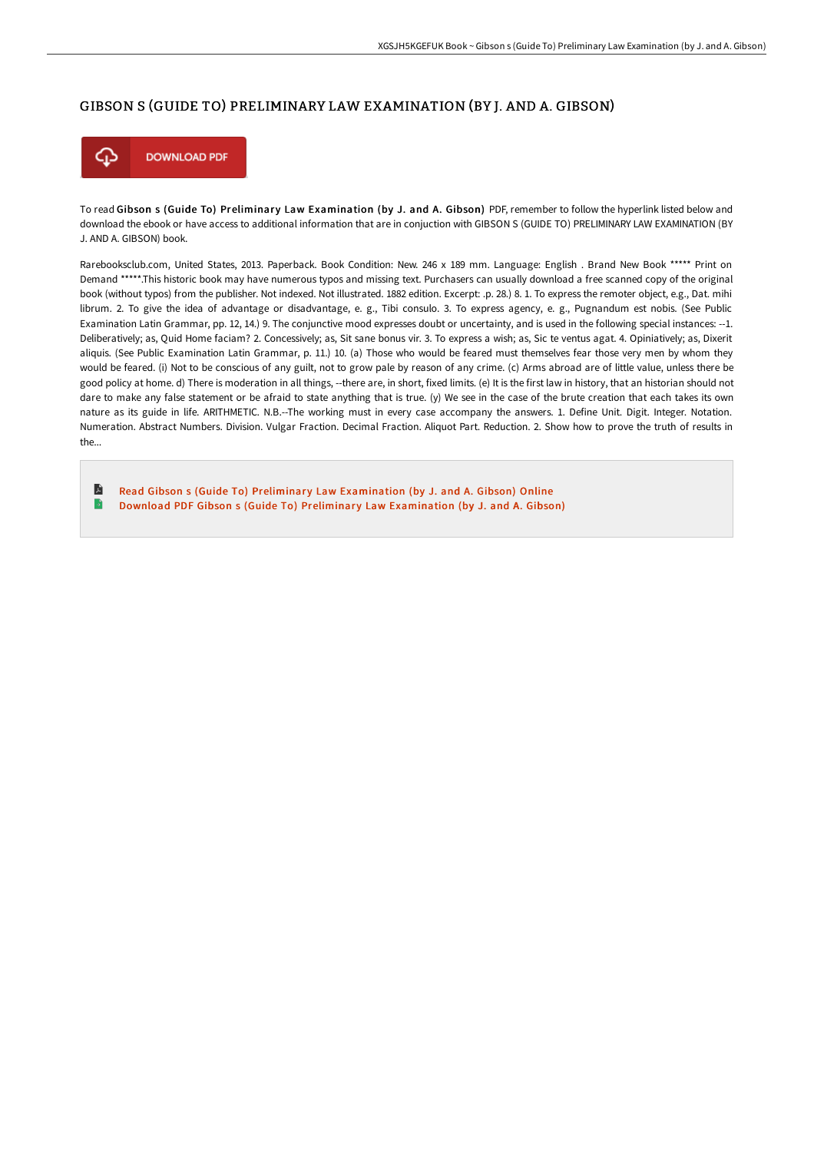## GIBSON S (GUIDE TO) PRELIMINARY LAW EXAMINATION (BY J. AND A. GIBSON)



To read Gibson s (Guide To) Preliminary Law Examination (by J. and A. Gibson) PDF, remember to follow the hyperlink listed below and download the ebook or have access to additional information that are in conjuction with GIBSON S (GUIDE TO) PRELIMINARY LAW EXAMINATION (BY J. AND A. GIBSON) book.

Rarebooksclub.com, United States, 2013. Paperback. Book Condition: New. 246 x 189 mm. Language: English . Brand New Book \*\*\*\*\* Print on Demand \*\*\*\*\*.This historic book may have numerous typos and missing text. Purchasers can usually download a free scanned copy of the original book (without typos) from the publisher. Not indexed. Not illustrated. 1882 edition. Excerpt: .p. 28.) 8. 1. To express the remoter object, e.g., Dat. mihi librum. 2. To give the idea of advantage or disadvantage, e. g., Tibi consulo. 3. To express agency, e. g., Pugnandum est nobis. (See Public Examination Latin Grammar, pp. 12, 14.) 9. The conjunctive mood expresses doubt or uncertainty, and is used in the following special instances: --1. Deliberatively; as, Quid Home faciam? 2. Concessively; as, Sit sane bonus vir. 3. To express a wish; as, Sic te ventus agat. 4. Opiniatively; as, Dixerit aliquis. (See Public Examination Latin Grammar, p. 11.) 10. (a) Those who would be feared must themselves fear those very men by whom they would be feared. (i) Not to be conscious of any guilt, not to grow pale by reason of any crime. (c) Arms abroad are of little value, unless there be good policy at home. d) There is moderation in all things, --there are, in short, fixed limits. (e) It is the first law in history, that an historian should not dare to make any false statement or be afraid to state anything that is true. (y) We see in the case of the brute creation that each takes its own nature as its guide in life. ARITHMETIC. N.B.--The working must in every case accompany the answers. 1. Define Unit. Digit. Integer. Notation. Numeration. Abstract Numbers. Division. Vulgar Fraction. Decimal Fraction. Aliquot Part. Reduction. 2. Show how to prove the truth of results in the...

E Read Gibson s (Guide To) Preliminary Law [Examination](http://albedo.media/gibson-s-guide-to-preliminary-law-examination-by.html) (by J. and A. Gibson) Online B Download PDF Gibson s (Guide To) Preliminary Law [Examination](http://albedo.media/gibson-s-guide-to-preliminary-law-examination-by.html) (by J. and A. Gibson)